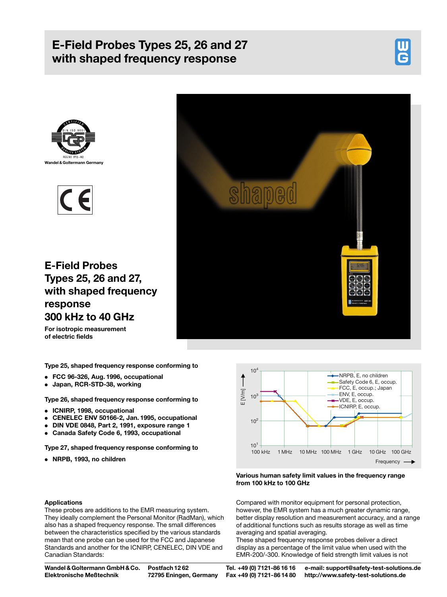# E-Field Probes Types 25, 26 and 27 with shaped frequency response







E-Field Probes Types 25, 26 and 27, with shaped frequency response 300 kHz to 40 GHz

shaped

For isotropic measurement of electric fields

Type 25, shaped frequency response conforming to

- . FCC 96-326, Aug. 1996, occupational
- . Japan, RCR-STD-38, working

Type 26, shaped frequency response conforming to

- . ICNIRP, 1998, occupational
- . CENELEC ENV 50166-2, Jan. 1995, occupational
- . DIN VDE 0848, Part 2, 1991, exposure range 1
- . Canada Safety Code 6, 1993, occupational

Type 27, shaped frequency response conforming to

. NRPB, 1993, no children



# Various human safety limit values in the frequency range from 100 kHz to 100 GHz

Compared with monitor equipment for personal protection, however, the EMR system has a much greater dynamic range, better display resolution and measurement accuracy, and a range of additional functions such as results storage as well as time averaging and spatial averaging.

These shaped frequency response probes deliver a direct display as a percentage of the limit value when used with the EMR-200/-300. Knowledge of field strength limit values is not

# Applications

These probes are additions to the EMR measuring system. They ideally complement the Personal Monitor (RadMan), which also has a shaped frequency response. The small differences between the characteristics specified by the various standards mean that one probe can be used for the FCC and Japanese Standards and another for the ICNIRP, CENELEC, DIN VDE and Canadian Standards:

Wandel &Goltermann GmbH & Co. Elektronische Meûtechnik

Postfach 12 62 72795 Eningen, Germany

Tel. +49 (0) 7121-86 16 16 Fax +49 (0) 7121-86 14 80 e-mail: support@safety-test-solutions.de http://www.safety-test-solutions.de